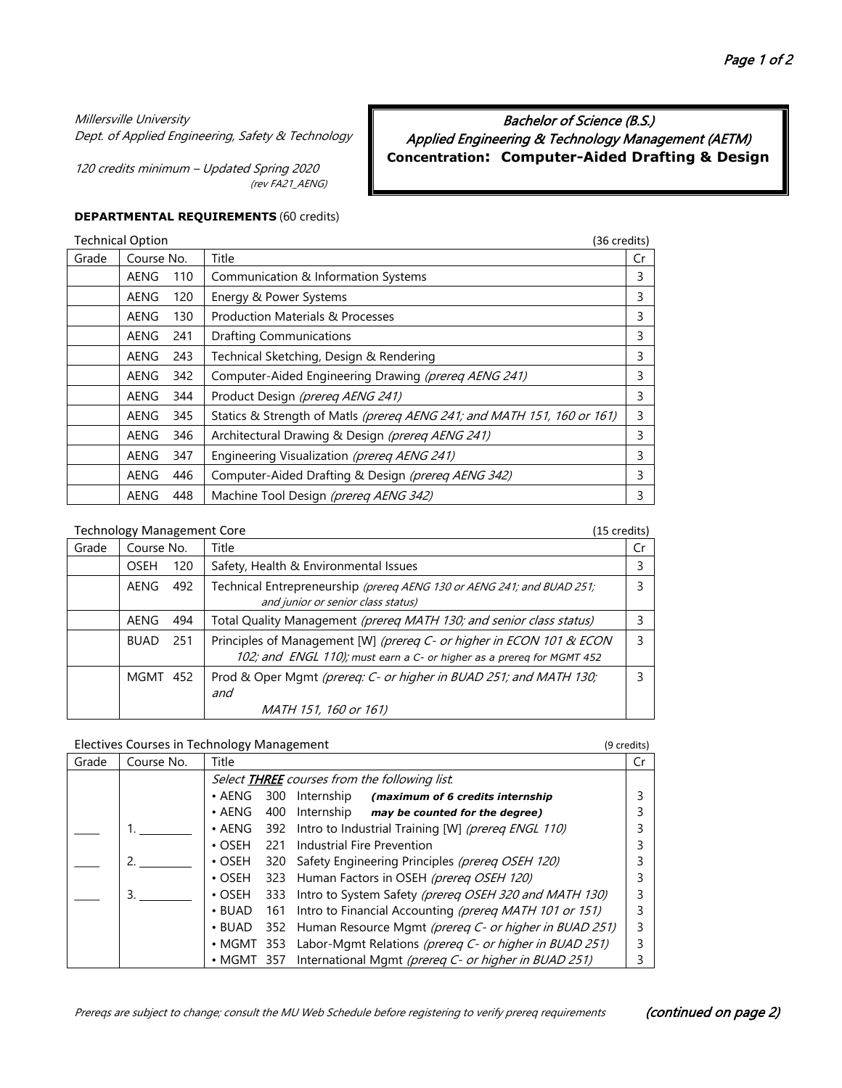Bachelor of Science (B.S.) Applied Engineering & Technology Management (AETM) **Concentration: Computer-Aided Drafting & Design**

## Millersville University

Dept. of Applied Engineering, Safety & Technology

120 credits minimum – Updated Spring 2020 (rev FA21\_AENG)

#### **DEPARTMENTAL REQUIREMENTS** (60 credits)

|       | <b>Technical Option</b> |     | (36 credits)                                                            |    |
|-------|-------------------------|-----|-------------------------------------------------------------------------|----|
| Grade | Course No.              |     | Title                                                                   | Cr |
|       | AENG                    | 110 | Communication & Information Systems                                     | 3  |
|       | AENG                    | 120 | Energy & Power Systems                                                  | 3  |
|       | AENG                    | 130 | <b>Production Materials &amp; Processes</b>                             | 3  |
|       | AENG                    | 241 | <b>Drafting Communications</b>                                          | 3  |
|       | AENG                    | 243 | Technical Sketching, Design & Rendering                                 | 3  |
|       | AENG                    | 342 | Computer-Aided Engineering Drawing (prereq AENG 241)                    | 3  |
|       | AENG                    | 344 | Product Design (prereg AENG 241)                                        | 3  |
|       | AENG                    | 345 | Statics & Strength of Matls (prereg AENG 241; and MATH 151, 160 or 161) | 3  |
|       | AENG                    | 346 | Architectural Drawing & Design (prereg AENG 241)                        | 3  |
|       | AENG                    | 347 | Engineering Visualization (prereg AENG 241)                             | 3  |
|       | AENG                    | 446 | Computer-Aided Drafting & Design (prereg AENG 342)                      | 3  |
|       | AENG                    | 448 | Machine Tool Design (prereq AENG 342)                                   | 3  |

### Technology Management Core (15 credits)

|       | $\frac{1}{2}$ |     | しょうしいしん しょう                                                                                                                                   |    |
|-------|---------------|-----|-----------------------------------------------------------------------------------------------------------------------------------------------|----|
| Grade | Course No.    |     | Title                                                                                                                                         | Cr |
|       | OSEH          | 120 | Safety, Health & Environmental Issues                                                                                                         |    |
|       | AENG          | 492 | Technical Entrepreneurship (prereg AENG 130 or AENG 241; and BUAD 251;<br>and junior or senior class status)                                  |    |
|       | AENG          | 494 | Total Quality Management (prereg MATH 130; and senior class status)                                                                           |    |
|       | <b>BUAD</b>   | 251 | Principles of Management [W] (prereq C- or higher in ECON 101 & ECON<br>102; and ENGL 110); must earn a C- or higher as a prereg for MGMT 452 |    |
|       | MGMT 452      |     | Prod & Oper Mgmt (prereq: C- or higher in BUAD 251; and MATH 130;<br>and<br>MATH 151, 160 or 161)                                             |    |

## Electives Courses in Technology Management (9 credits)

| Grade | Course No. | Title            |     |                                                            |  |
|-------|------------|------------------|-----|------------------------------------------------------------|--|
|       |            |                  |     | Select <b>THREE</b> courses from the following list.       |  |
|       |            | $\bullet$ AENG   |     | 300 Internship (maximum of 6 credits internship            |  |
|       |            | $\cdot$ AENG     | 400 | Internship may be counted for the degree)                  |  |
|       |            | $\cdot$ AENG     |     | 392 Intro to Industrial Training [W] (prereq ENGL 110)     |  |
|       |            | $\cdot$ OSFH     | 221 | Industrial Fire Prevention                                 |  |
|       |            | $\cdot$ OSEH     |     | 320 Safety Engineering Principles (prereg OSEH 120)        |  |
|       |            | $\cdot$ OSEH     |     | 323 Human Factors in OSEH (prereq OSEH 120)                |  |
|       | 3.         | $\cdot$ OSEH     | 333 | Intro to System Safety (prereq OSEH 320 and MATH 130)      |  |
|       |            | $\cdot$ BUAD     |     | 161 Intro to Financial Accounting (prereg MATH 101 or 151) |  |
|       |            | $\cdot$ BUAD     |     | 352 Human Resource Mgmt (prereq C- or higher in BUAD 251)  |  |
|       |            | $\cdot$ MGMT 353 |     | Labor-Mgmt Relations (prereg C- or higher in BUAD 251)     |  |
|       |            | $\cdot$ MGMT 357 |     | International Mgmt (prereq C- or higher in BUAD 251)       |  |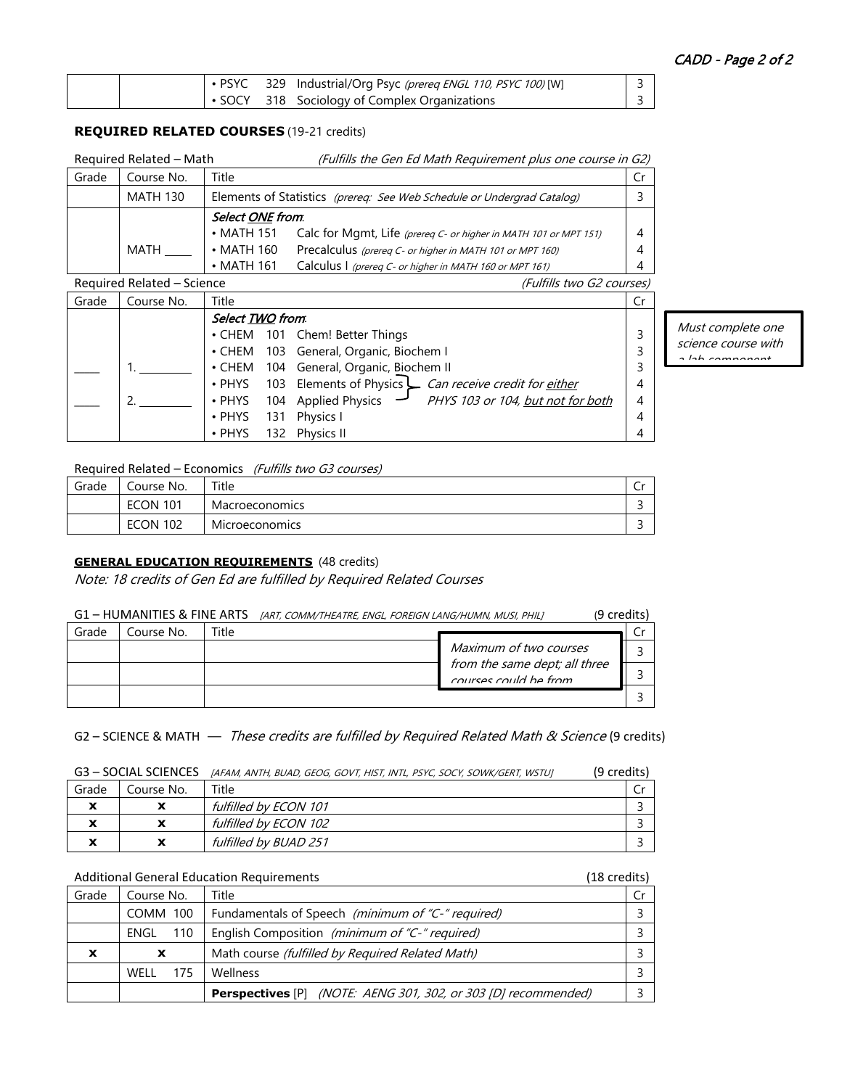|  |  | PSYC 329 Industrial/Org Psyc (prereq ENGL 110, PSYC 100) [W] |  |
|--|--|--------------------------------------------------------------|--|
|  |  | <b>SOCY</b> 318 Sociology of Complex Organizations           |  |

## **REQUIRED RELATED COURSES** (19-21 credits)

| Required Related - Math |                 |                         | (Fulfills the Gen Ed Math Requirement plus one course in G2)           |    |
|-------------------------|-----------------|-------------------------|------------------------------------------------------------------------|----|
| Grade                   | Course No.      | Title                   |                                                                        | Cr |
|                         | <b>MATH 130</b> |                         | Elements of Statistics (prereq: See Web Schedule or Undergrad Catalog) |    |
|                         |                 | Select <u>ONE</u> from. |                                                                        |    |
|                         |                 | $\cdot$ MATH 151        | Calc for Mgmt, Life (prereq C- or higher in MATH 101 or MPT 151)       | 4  |
|                         | MATH            | $\bullet$ MATH 160      | Precalculus (prereq C- or higher in MATH 101 or MPT 160)               | 4  |
|                         |                 | $\cdot$ MATH 161        | Calculus I (prereq C- or higher in MATH 160 or MPT 161)                | 4  |

### Required Related – Science (Fulfills two G2 courses)

| Grade | Course No. | Title            |                                                                | Cr |                  |
|-------|------------|------------------|----------------------------------------------------------------|----|------------------|
|       |            | Select TWO from. |                                                                |    |                  |
|       |            |                  | • CHEM 101 Chem! Better Things                                 |    | Must             |
|       |            |                  | • CHEM 103 General, Organic, Biochem I                         |    | scieno<br>$-1-h$ |
|       |            |                  | • CHEM 104 General, Organic, Biochem II                        |    |                  |
|       |            |                  | • PHYS 103 Elements of Physics Can receive credit for either   | 4  |                  |
|       |            |                  | • PHYS 104 Applied Physics - PHYS 103 or 104, but not for both | 4  |                  |
|       |            |                  | • PHYS 131 Physics I                                           | 4  |                  |
|       |            |                  | • PHYS 132 Physics II                                          | 4  |                  |

## Required Related – Economics (Fulfills two G3 courses)

| Grade | Course No.      | Title                 | ◡ |
|-------|-----------------|-----------------------|---|
|       | <b>ECON 101</b> | <b>Macroeconomics</b> |   |
|       | <b>ECON 102</b> | <b>Microeconomics</b> |   |

# **GENERAL EDUCATION REQUIREMENTS** (48 credits)

Note: 18 credits of Gen Ed are fulfilled by Required Related Courses

| G1 - HUMANITIES & FINE ARTS [ART, COMM/THEATRE, ENGL, FOREIGN LANG/HUMN, MUSI, PHILJ | (9 credits) |
|--------------------------------------------------------------------------------------|-------------|
|--------------------------------------------------------------------------------------|-------------|

| Grade | Course No. | "itle |                               |  |
|-------|------------|-------|-------------------------------|--|
|       |            |       | Maximum of two courses        |  |
|       |            |       | from the same dept; all three |  |
|       |            |       |                               |  |

## G2 – SCIENCE & MATH — These credits are fulfilled by Required Related Math & Science (9 credits)

### G3 - SOCIAL SCIENCES [AFAM, ANTH, BUAD, GEOG, GOVT, HIST, INTL, PSYC, SOCY, SOWK/GERT, WSTUJ (9 credits)

| Grade                      | Course No. | Title                 |  |
|----------------------------|------------|-----------------------|--|
| $\overline{\phantom{a}}$   | ^          | fulfilled by ECON 101 |  |
| $\boldsymbol{\mathcal{L}}$ | x          | fulfilled by ECON 102 |  |
| $\boldsymbol{\mathcal{L}}$ | х          | fulfilled by BUAD 251 |  |

### Additional General Education Requirements (18 credits)

| Grade | Course No.  | Title                                                                        |  |
|-------|-------------|------------------------------------------------------------------------------|--|
|       | COMM 100    | Fundamentals of Speech (minimum of "C-" required)                            |  |
|       | 110<br>ENGL | English Composition (minimum of "C-" required)                               |  |
| X     | X           | Math course (fulfilled by Required Related Math)                             |  |
|       | WFII<br>175 | <b>Wellness</b>                                                              |  |
|       |             | <b>Perspectives</b> [P] <i>(NOTE: AENG 301, 302, or 303 [D] recommended)</i> |  |

complete one ce course with a lab component